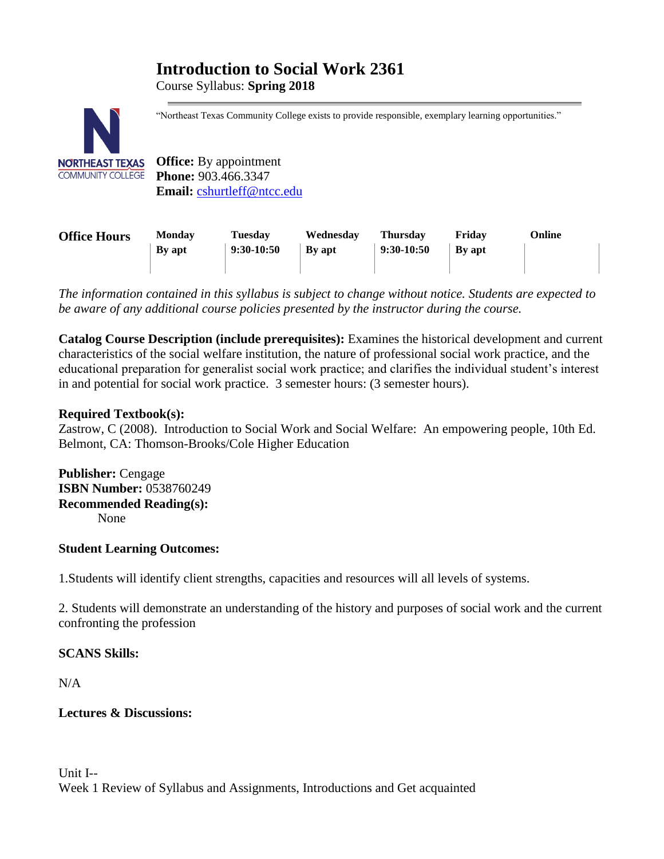# **Introduction to Social Work 2361**

Course Syllabus: **Spring 2018**



"Northeast Texas Community College exists to provide responsible, exemplary learning opportunities."

**Office:** By appointment **Phone:** 903.466.3347 **Email:** [cshurtleff@ntcc.edu](mailto:cshurtleff@ntcc.edu)

| <b>Office Hours</b> | <b>Monday</b> | Tuesday      | Wednesdav     | <b>Thursday</b> | Fridav        | Online |
|---------------------|---------------|--------------|---------------|-----------------|---------------|--------|
|                     | By apt        | $9:30-10:50$ | <b>By apt</b> | $9:30-10:50$    | <b>By apt</b> |        |
|                     |               |              |               |                 |               |        |

*The information contained in this syllabus is subject to change without notice. Students are expected to be aware of any additional course policies presented by the instructor during the course.*

**Catalog Course Description (include prerequisites):** Examines the historical development and current characteristics of the social welfare institution, the nature of professional social work practice, and the educational preparation for generalist social work practice; and clarifies the individual student's interest in and potential for social work practice. 3 semester hours: (3 semester hours).

# **Required Textbook(s):**

Zastrow, C (2008). Introduction to Social Work and Social Welfare: An empowering people, 10th Ed. Belmont, CA: Thomson-Brooks/Cole Higher Education

**Publisher:** Cengage **ISBN Number:** 0538760249 **Recommended Reading(s):** None

# **Student Learning Outcomes:**

1.Students will identify client strengths, capacities and resources will all levels of systems.

2. Students will demonstrate an understanding of the history and purposes of social work and the current confronting the profession

# **SCANS Skills:**

 $N/A$ 

# **Lectures & Discussions:**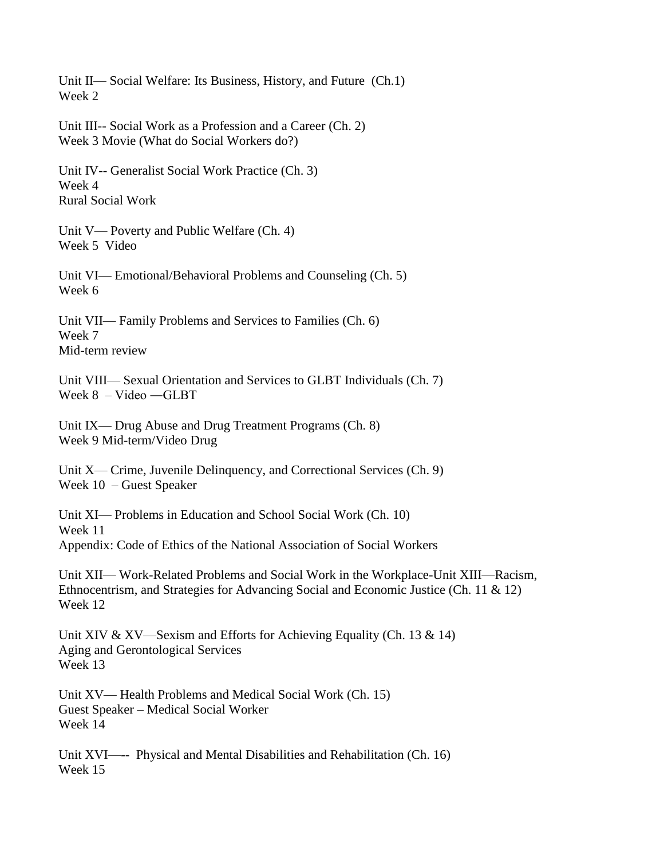Unit II— Social Welfare: Its Business, History, and Future (Ch.1) Week 2

Unit III-- Social Work as a Profession and a Career (Ch. 2) Week 3 Movie (What do Social Workers do?)

Unit IV-- Generalist Social Work Practice (Ch. 3) Week 4 Rural Social Work

Unit V— Poverty and Public Welfare (Ch. 4) Week 5 Video

Unit VI— Emotional/Behavioral Problems and Counseling (Ch. 5) Week 6

Unit VII— Family Problems and Services to Families (Ch. 6) Week 7 Mid-term review

Unit VIII— Sexual Orientation and Services to GLBT Individuals (Ch. 7) Week 8 – Video ―GLBT

Unit IX— Drug Abuse and Drug Treatment Programs (Ch. 8) Week 9 Mid-term/Video Drug

Unit X— Crime, Juvenile Delinquency, and Correctional Services (Ch. 9) Week 10 – Guest Speaker

Unit XI— Problems in Education and School Social Work (Ch. 10) Week 11 Appendix: Code of Ethics of the National Association of Social Workers

Unit XII— Work-Related Problems and Social Work in the Workplace-Unit XIII—Racism, Ethnocentrism, and Strategies for Advancing Social and Economic Justice (Ch. 11 & 12) Week 12

Unit XIV & XV—Sexism and Efforts for Achieving Equality (Ch. 13 & 14) Aging and Gerontological Services Week 13

Unit XV— Health Problems and Medical Social Work (Ch. 15) Guest Speaker – Medical Social Worker Week 14

Unit XVI—-- Physical and Mental Disabilities and Rehabilitation (Ch. 16) Week 15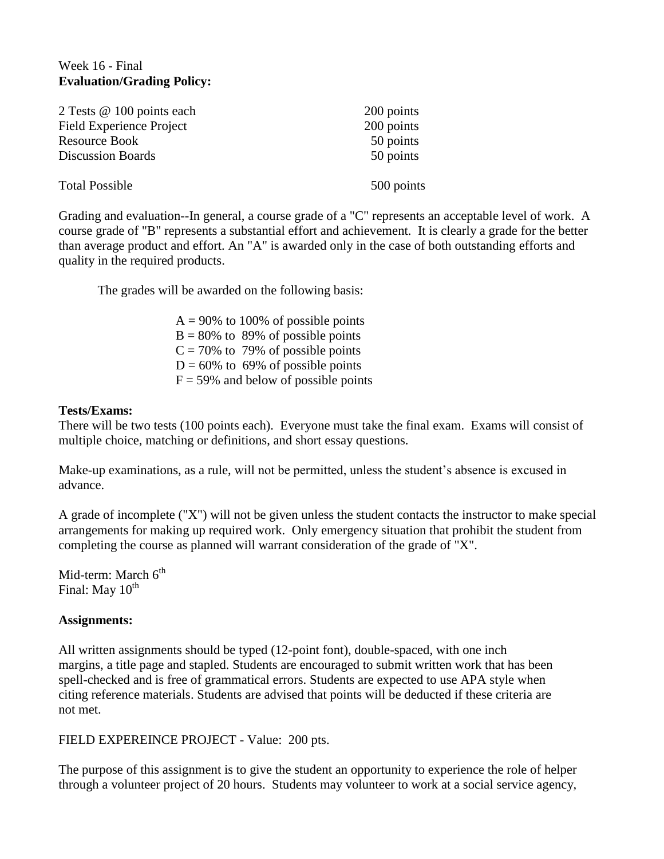# Week 16 - Final **Evaluation/Grading Policy:**

| 2 Tests @ 100 points each       | 200 points |
|---------------------------------|------------|
| <b>Field Experience Project</b> | 200 points |
| <b>Resource Book</b>            | 50 points  |
| <b>Discussion Boards</b>        | 50 points  |
| <b>Total Possible</b>           | 500 points |
|                                 |            |

Grading and evaluation--In general, a course grade of a "C" represents an acceptable level of work. A course grade of "B" represents a substantial effort and achievement. It is clearly a grade for the better than average product and effort. An "A" is awarded only in the case of both outstanding efforts and quality in the required products.

The grades will be awarded on the following basis:

 $A = 90\%$  to 100% of possible points  $B = 80\%$  to 89% of possible points  $C = 70\%$  to 79% of possible points  $D = 60\%$  to 69% of possible points  $F = 59\%$  and below of possible points

### **Tests/Exams:**

There will be two tests (100 points each). Everyone must take the final exam. Exams will consist of multiple choice, matching or definitions, and short essay questions.

Make-up examinations, as a rule, will not be permitted, unless the student's absence is excused in advance.

A grade of incomplete ("X") will not be given unless the student contacts the instructor to make special arrangements for making up required work. Only emergency situation that prohibit the student from completing the course as planned will warrant consideration of the grade of "X".

Mid-term: March  $6<sup>th</sup>$ Final: May  $10^{th}$ 

# **Assignments:**

All written assignments should be typed (12-point font), double-spaced, with one inch margins, a title page and stapled. Students are encouraged to submit written work that has been spell-checked and is free of grammatical errors. Students are expected to use APA style when citing reference materials. Students are advised that points will be deducted if these criteria are not met.

FIELD EXPEREINCE PROJECT - Value: 200 pts.

The purpose of this assignment is to give the student an opportunity to experience the role of helper through a volunteer project of 20 hours. Students may volunteer to work at a social service agency,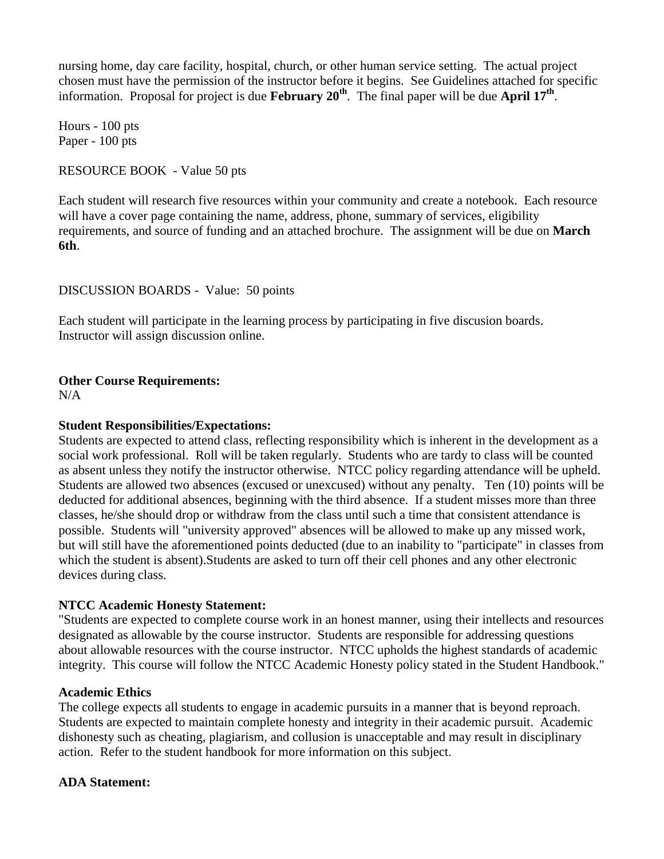nursing home, day care facility, hospital, church, or other human service setting. The actual project chosen must have the permission of the instructor before it begins. See Guidelines attached for specific information. Proposal for project is due **February 20th**. The final paper will be due **April 17th** .

Hours - 100 pts Paper - 100 pts

## RESOURCE BOOK - Value 50 pts

Each student will research five resources within your community and create a notebook. Each resource will have a cover page containing the name, address, phone, summary of services, eligibility requirements, and source of funding and an attached brochure. The assignment will be due on **March 6th**.

DISCUSSION BOARDS - Value: 50 points

Each student will participate in the learning process by participating in five discusion boards. Instructor will assign discussion online.

### **Other Course Requirements:**

N/A

#### **Student Responsibilities/Expectations:**

Students are expected to attend class, reflecting responsibility which is inherent in the development as a social work professional. Roll will be taken regularly. Students who are tardy to class will be counted as absent unless they notify the instructor otherwise. NTCC policy regarding attendance will be upheld. Students are allowed two absences (excused or unexcused) without any penalty. Ten (10) points will be deducted for additional absences, beginning with the third absence. If a student misses more than three classes, he/she should drop or withdraw from the class until such a time that consistent attendance is possible. Students will "university approved" absences will be allowed to make up any missed work, but will still have the aforementioned points deducted (due to an inability to "participate" in classes from which the student is absent).Students are asked to turn off their cell phones and any other electronic devices during class.

#### **NTCC Academic Honesty Statement:**

"Students are expected to complete course work in an honest manner, using their intellects and resources designated as allowable by the course instructor. Students are responsible for addressing questions about allowable resources with the course instructor. NTCC upholds the highest standards of academic integrity. This course will follow the NTCC Academic Honesty policy stated in the Student Handbook."

### **Academic Ethics**

The college expects all students to engage in academic pursuits in a manner that is beyond reproach. Students are expected to maintain complete honesty and integrity in their academic pursuit. Academic dishonesty such as cheating, plagiarism, and collusion is unacceptable and may result in disciplinary action. Refer to the student handbook for more information on this subject.

# **ADA Statement:**